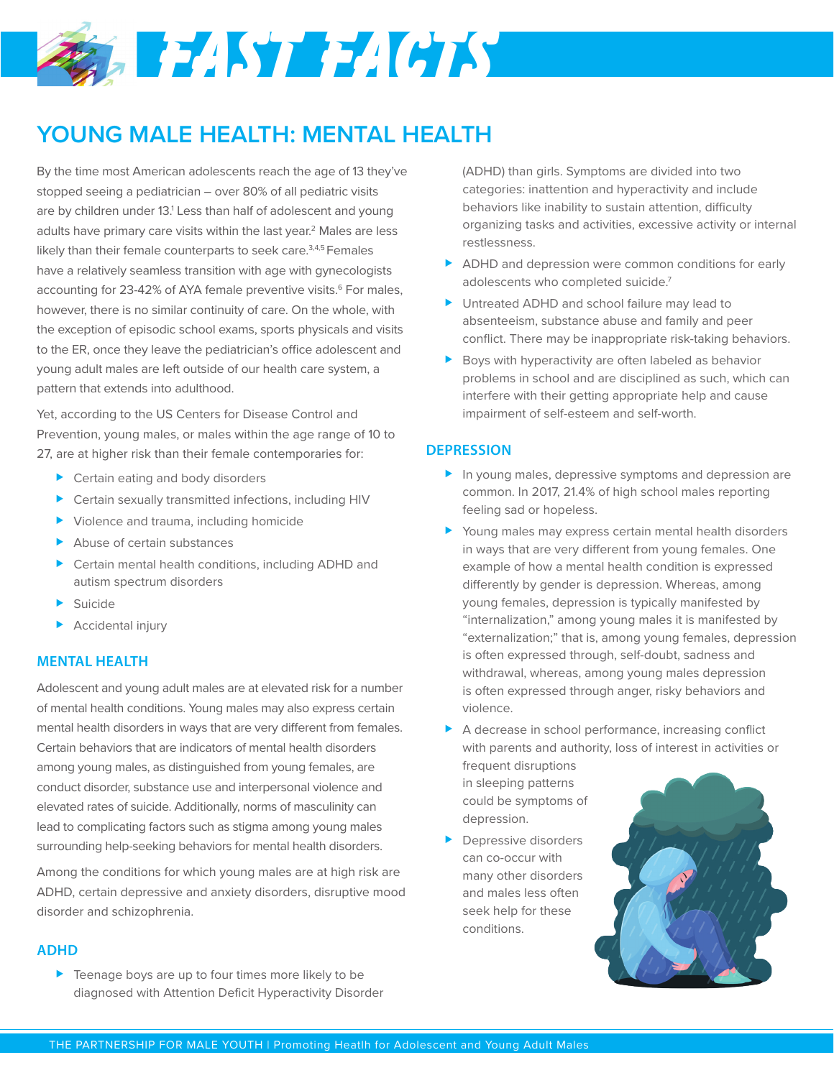# **SABELISTEE (GTS)**

## **YOUNG MALE HEALTH: MENTAL HEALTH**

By the time most American adolescents reach the age of 13 they've stopped seeing a pediatrician – over 80% of all pediatric visits are by children under 13.<sup>1</sup> Less than half of adolescent and young adults have primary care visits within the last year.<sup>2</sup> Males are less likely than their female counterparts to seek care.<sup>3,4,5</sup> Females have a relatively seamless transition with age with gynecologists accounting for 23-42% of AYA female preventive visits.<sup>6</sup> For males, however, there is no similar continuity of care. On the whole, with the exception of episodic school exams, sports physicals and visits to the ER, once they leave the pediatrician's office adolescent and young adult males are left outside of our health care system, a pattern that extends into adulthood.

Yet, according to the US Centers for Disease Control and Prevention, young males, or males within the age range of 10 to 27, are at higher risk than their female contemporaries for:

- ▶ Certain eating and body disorders
- Certain sexually transmitted infections, including HIV
- Violence and trauma, including homicide
- Abuse of certain substances
- ▶ Certain mental health conditions, including ADHD and autism spectrum disorders
- **Suicide**
- $\blacktriangleright$  Accidental injury

### **MENTAL HEALTH**

Adolescent and young adult males are at elevated risk for a number of mental health conditions. Young males may also express certain mental health disorders in ways that are very different from females. Certain behaviors that are indicators of mental health disorders among young males, as distinguished from young females, are conduct disorder, substance use and interpersonal violence and elevated rates of suicide. Additionally, norms of masculinity can lead to complicating factors such as stigma among young males surrounding help-seeking behaviors for mental health disorders.

Among the conditions for which young males are at high risk are ADHD, certain depressive and anxiety disorders, disruptive mood disorder and schizophrenia.

### **ADHD**

▶ Teenage boys are up to four times more likely to be diagnosed with Attention Deficit Hyperactivity Disorder (ADHD) than girls. Symptoms are divided into two categories: inattention and hyperactivity and include behaviors like inability to sustain attention, difficulty organizing tasks and activities, excessive activity or internal restlessness.

- ADHD and depression were common conditions for early adolescents who completed suicide.<sup>7</sup>
- Intreated ADHD and school failure may lead to absenteeism, substance abuse and family and peer conflict. There may be inappropriate risk-taking behaviors.
- Boys with hyperactivity are often labeled as behavior problems in school and are disciplined as such, which can interfere with their getting appropriate help and cause impairment of self-esteem and self-worth.

### **DEPRESSION**

- In young males, depressive symptoms and depression are common. In 2017, 21.4% of high school males reporting feeling sad or hopeless.
- Young males may express certain mental health disorders in ways that are very different from young females. One example of how a mental health condition is expressed differently by gender is depression. Whereas, among young females, depression is typically manifested by "internalization," among young males it is manifested by "externalization;" that is, among young females, depression is often expressed through, self-doubt, sadness and withdrawal, whereas, among young males depression is often expressed through anger, risky behaviors and violence.

A decrease in school performance, increasing conflict with parents and authority, loss of interest in activities or

frequent disruptions in sleeping patterns could be symptoms of depression.

**Depressive disorders** can co-occur with many other disorders and males less often seek help for these conditions.